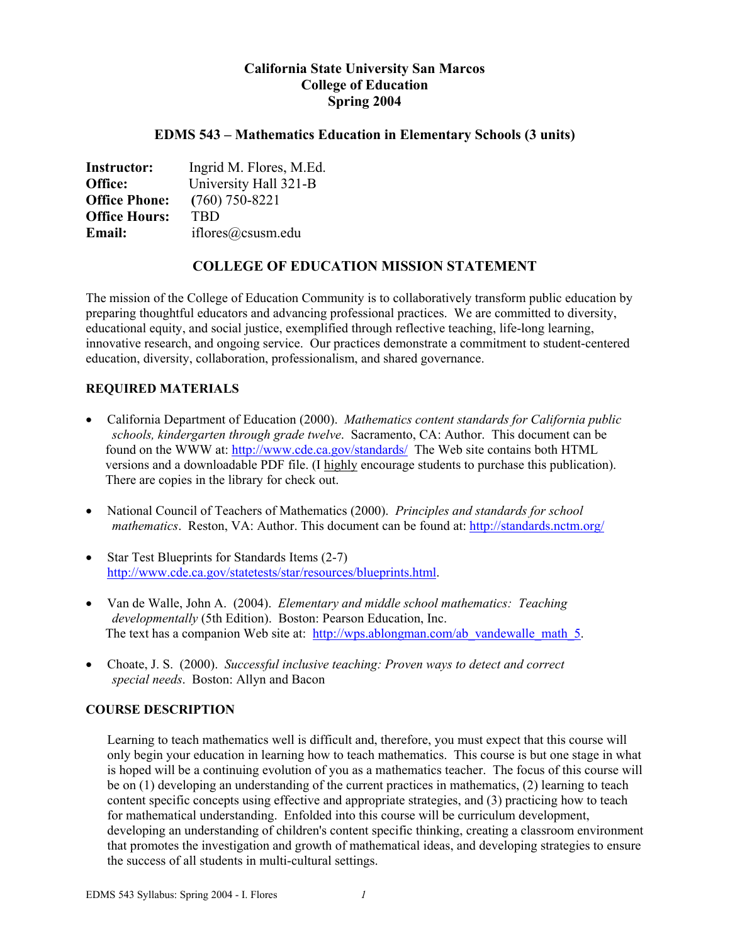# **California State University San Marcos College of Education Spring 2004**

## **EDMS 543 – Mathematics Education in Elementary Schools (3 units)**

| <b>Instructor:</b>   | Ingrid M. Flores, M.Ed. |
|----------------------|-------------------------|
| Office:              | University Hall 321-B   |
| <b>Office Phone:</b> | $(760)$ 750-8221        |
| <b>Office Hours:</b> | <b>TRD</b>              |
| <b>Email:</b>        | iflores@csusm.edu       |

# **COLLEGE OF EDUCATION MISSION STATEMENT**

The mission of the College of Education Community is to collaboratively transform public education by preparing thoughtful educators and advancing professional practices. We are committed to diversity, educational equity, and social justice, exemplified through reflective teaching, life-long learning, innovative research, and ongoing service. Our practices demonstrate a commitment to student-centered education, diversity, collaboration, professionalism, and shared governance.

## **REQUIRED MATERIALS**

- California Department of Education (2000). *Mathematics content standards for California public schools, kindergarten through grade twelve*. Sacramento, CA: Author. This document can be found on the WWW at: http://www.cde.ca.gov/standards/ The Web site contains both HTML versions and a downloadable PDF file. (I highly encourage students to purchase this publication). There are copies in the library for check out.
- National Council of Teachers of Mathematics (2000). *Principles and standards for school mathematics*. Reston, VA: Author. This document can be found at: http://standards.nctm.org/
- Star Test Blueprints for Standards Items (2-7) http://www.cde.ca.gov/statetests/star/resources/blueprints.html.
- Van de Walle, John A. (2004). *Elementary and middle school mathematics: Teaching developmentally* (5th Edition). Boston: Pearson Education, Inc. The text has a companion Web site at: http://wps.ablongman.com/ab\_vandewalle\_math\_5.
- Choate, J. S. (2000). *Successful inclusive teaching: Proven ways to detect and correct special needs*. Boston: Allyn and Bacon

## **COURSE DESCRIPTION**

Learning to teach mathematics well is difficult and, therefore, you must expect that this course will only begin your education in learning how to teach mathematics. This course is but one stage in what is hoped will be a continuing evolution of you as a mathematics teacher. The focus of this course will be on (1) developing an understanding of the current practices in mathematics, (2) learning to teach content specific concepts using effective and appropriate strategies, and (3) practicing how to teach for mathematical understanding. Enfolded into this course will be curriculum development, developing an understanding of children's content specific thinking, creating a classroom environment that promotes the investigation and growth of mathematical ideas, and developing strategies to ensure the success of all students in multi-cultural settings.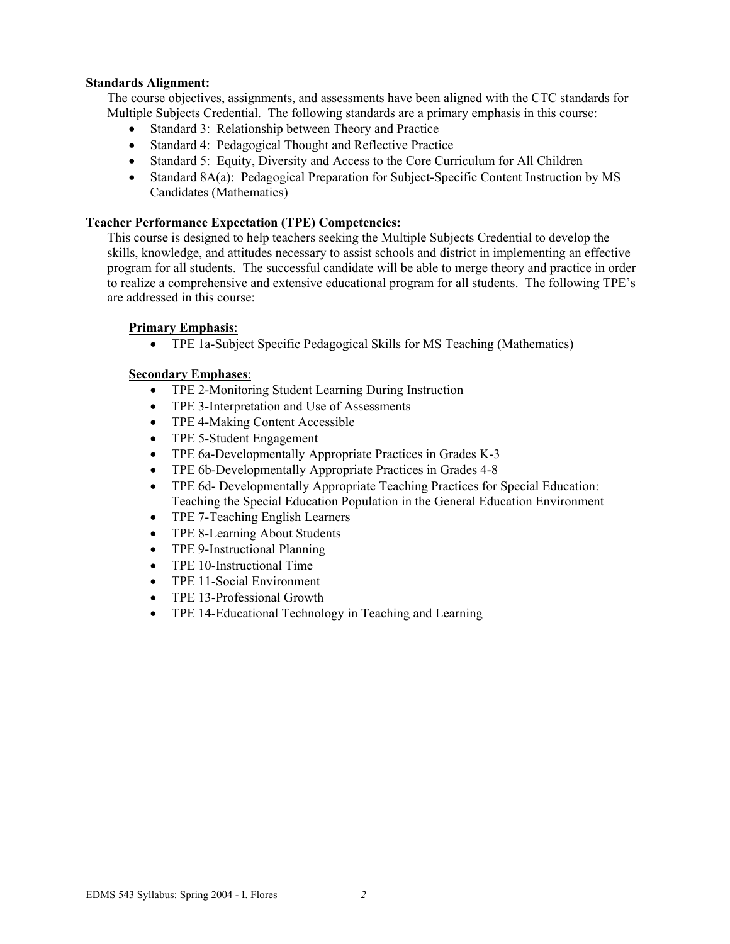## **Standards Alignment:**

The course objectives, assignments, and assessments have been aligned with the CTC standards for Multiple Subjects Credential. The following standards are a primary emphasis in this course:

- Standard 3: Relationship between Theory and Practice
- Standard 4: Pedagogical Thought and Reflective Practice
- Standard 5: Equity, Diversity and Access to the Core Curriculum for All Children
- Standard 8A(a): Pedagogical Preparation for Subject-Specific Content Instruction by MS Candidates (Mathematics)

### **Teacher Performance Expectation (TPE) Competencies:**

This course is designed to help teachers seeking the Multiple Subjects Credential to develop the skills, knowledge, and attitudes necessary to assist schools and district in implementing an effective program for all students. The successful candidate will be able to merge theory and practice in order to realize a comprehensive and extensive educational program for all students. The following TPE's are addressed in this course:

### **Primary Emphasis**:

• TPE 1a-Subject Specific Pedagogical Skills for MS Teaching (Mathematics)

### **Secondary Emphases**:

- TPE 2-Monitoring Student Learning During Instruction
- TPE 3-Interpretation and Use of Assessments
- TPE 4-Making Content Accessible
- TPE 5-Student Engagement
- TPE 6a-Developmentally Appropriate Practices in Grades K-3
- TPE 6b-Developmentally Appropriate Practices in Grades 4-8
- TPE 6d- Developmentally Appropriate Teaching Practices for Special Education: Teaching the Special Education Population in the General Education Environment
- TPE 7-Teaching English Learners
- TPE 8-Learning About Students
- TPE 9-Instructional Planning
- TPE 10-Instructional Time
- TPE 11-Social Environment
- TPE 13-Professional Growth
- TPE 14-Educational Technology in Teaching and Learning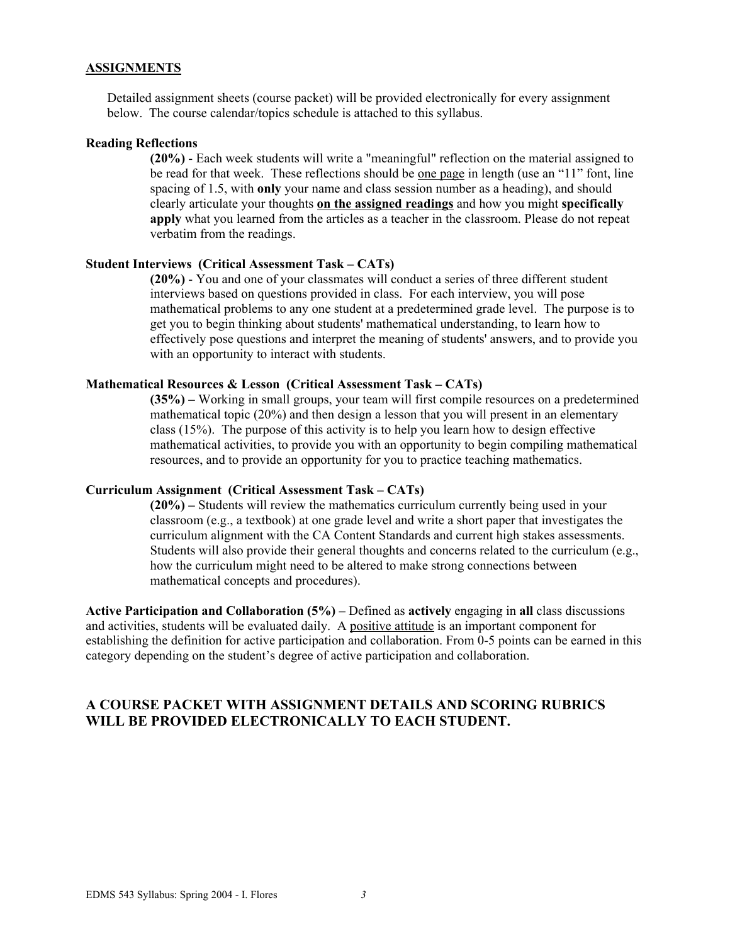### **ASSIGNMENTS**

Detailed assignment sheets (course packet) will be provided electronically for every assignment below. The course calendar/topics schedule is attached to this syllabus.

#### **Reading Reflections**

**(20%)** - Each week students will write a "meaningful" reflection on the material assigned to be read for that week. These reflections should be one page in length (use an "11" font, line spacing of 1.5, with **only** your name and class session number as a heading), and should clearly articulate your thoughts **on the assigned readings** and how you might **specifically apply** what you learned from the articles as a teacher in the classroom. Please do not repeat verbatim from the readings.

#### **Student Interviews (Critical Assessment Task – CATs)**

**(20%)** - You and one of your classmates will conduct a series of three different student interviews based on questions provided in class. For each interview, you will pose mathematical problems to any one student at a predetermined grade level. The purpose is to get you to begin thinking about students' mathematical understanding, to learn how to effectively pose questions and interpret the meaning of students' answers, and to provide you with an opportunity to interact with students.

#### **Mathematical Resources & Lesson (Critical Assessment Task – CATs)**

**(35%) –** Working in small groups, your team will first compile resources on a predetermined mathematical topic (20%) and then design a lesson that you will present in an elementary class (15%). The purpose of this activity is to help you learn how to design effective mathematical activities, to provide you with an opportunity to begin compiling mathematical resources, and to provide an opportunity for you to practice teaching mathematics.

#### **Curriculum Assignment (Critical Assessment Task – CATs)**

**(20%) –** Students will review the mathematics curriculum currently being used in your classroom (e.g., a textbook) at one grade level and write a short paper that investigates the curriculum alignment with the CA Content Standards and current high stakes assessments. Students will also provide their general thoughts and concerns related to the curriculum (e.g., how the curriculum might need to be altered to make strong connections between mathematical concepts and procedures).

**Active Participation and Collaboration (5%) –** Defined as **actively** engaging in **all** class discussions and activities, students will be evaluated daily. A positive attitude is an important component for establishing the definition for active participation and collaboration. From 0-5 points can be earned in this category depending on the student's degree of active participation and collaboration.

## **A COURSE PACKET WITH ASSIGNMENT DETAILS AND SCORING RUBRICS WILL BE PROVIDED ELECTRONICALLY TO EACH STUDENT.**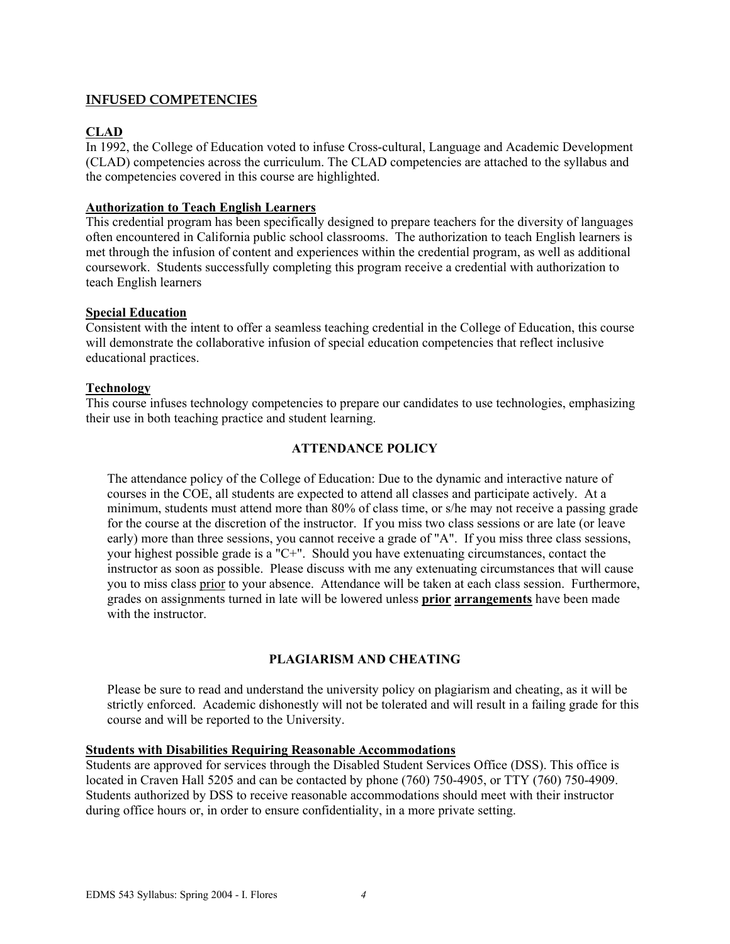## **INFUSED COMPETENCIES**

# **CLAD**

In 1992, the College of Education voted to infuse Cross-cultural, Language and Academic Development (CLAD) competencies across the curriculum. The CLAD competencies are attached to the syllabus and the competencies covered in this course are highlighted.

## **Authorization to Teach English Learners**

This credential program has been specifically designed to prepare teachers for the diversity of languages often encountered in California public school classrooms. The authorization to teach English learners is met through the infusion of content and experiences within the credential program, as well as additional coursework. Students successfully completing this program receive a credential with authorization to teach English learners

## **Special Education**

Consistent with the intent to offer a seamless teaching credential in the College of Education, this course will demonstrate the collaborative infusion of special education competencies that reflect inclusive educational practices.

### **Technology**

This course infuses technology competencies to prepare our candidates to use technologies, emphasizing their use in both teaching practice and student learning.

## **ATTENDANCE POLICY**

The attendance policy of the College of Education: Due to the dynamic and interactive nature of courses in the COE, all students are expected to attend all classes and participate actively. At a minimum, students must attend more than 80% of class time, or s/he may not receive a passing grade for the course at the discretion of the instructor. If you miss two class sessions or are late (or leave early) more than three sessions, you cannot receive a grade of "A". If you miss three class sessions, your highest possible grade is a "C+". Should you have extenuating circumstances, contact the instructor as soon as possible. Please discuss with me any extenuating circumstances that will cause you to miss class prior to your absence. Attendance will be taken at each class session. Furthermore, grades on assignments turned in late will be lowered unless **prior arrangements** have been made with the instructor

## **PLAGIARISM AND CHEATING**

Please be sure to read and understand the university policy on plagiarism and cheating, as it will be strictly enforced. Academic dishonestly will not be tolerated and will result in a failing grade for this course and will be reported to the University.

## **Students with Disabilities Requiring Reasonable Accommodations**

Students are approved for services through the Disabled Student Services Office (DSS). This office is located in Craven Hall 5205 and can be contacted by phone (760) 750-4905, or TTY (760) 750-4909. Students authorized by DSS to receive reasonable accommodations should meet with their instructor during office hours or, in order to ensure confidentiality, in a more private setting.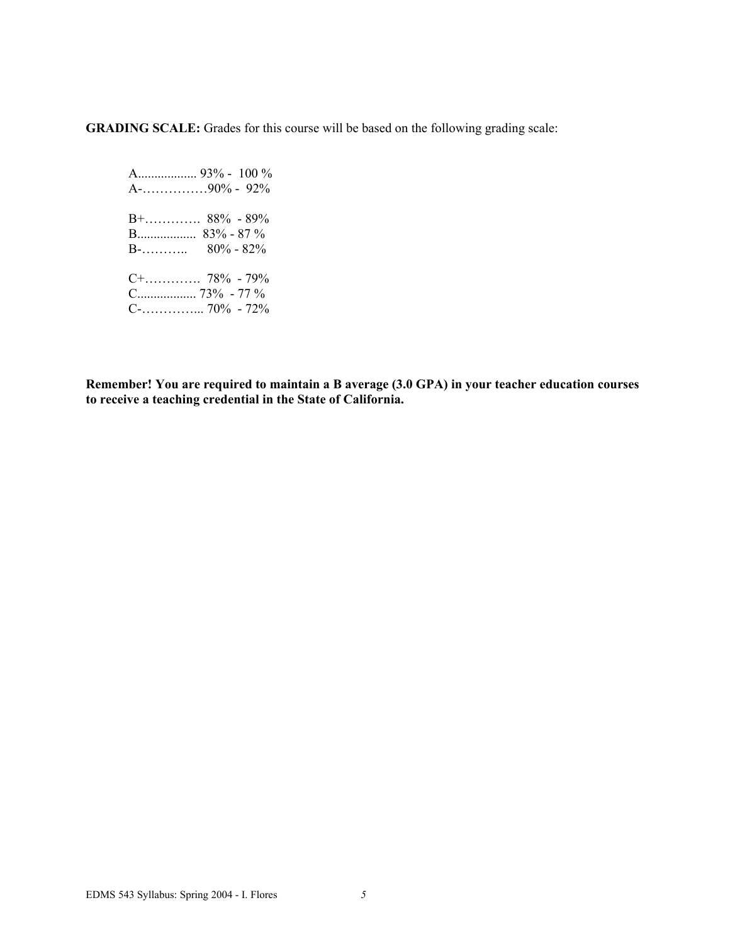**GRADING SCALE:** Grades for this course will be based on the following grading scale:

 A.................. 93% - 100 % A-……………90% - 92% B+…………. 88% - 89% B.................. 83% - 87 % B-………..  $80\% - 82\%$  C+…………. 78% - 79% C.................. 73% - 77 % C-…………... 70% - 72%

**Remember! You are required to maintain a B average (3.0 GPA) in your teacher education courses to receive a teaching credential in the State of California.**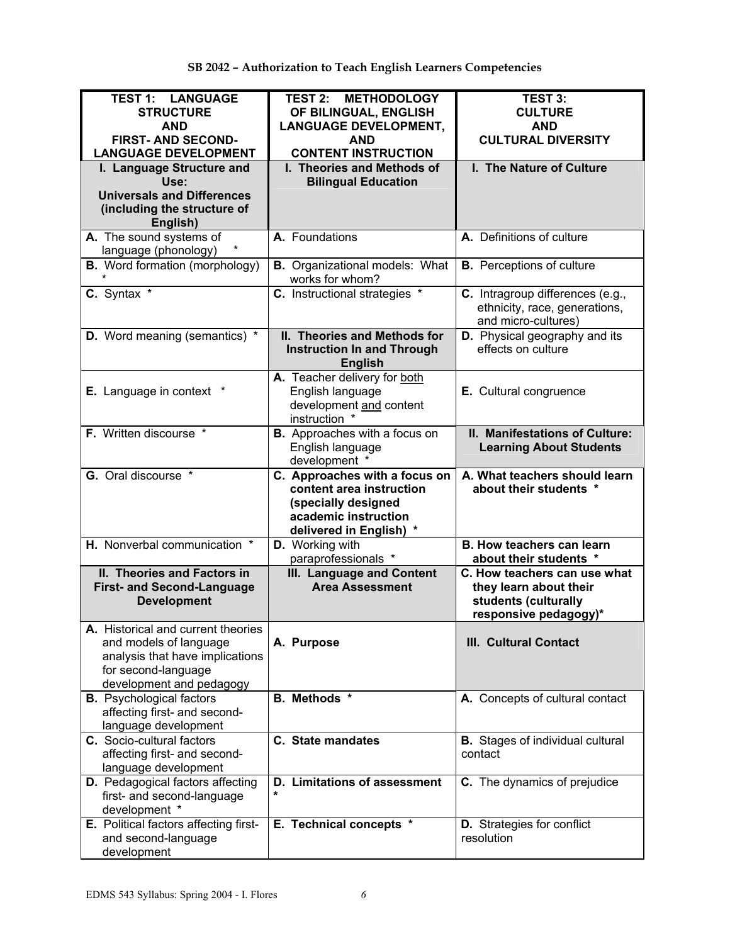| <b>TEST 1: LANGUAGE</b><br><b>STRUCTURE</b><br><b>AND</b><br><b>FIRST- AND SECOND-</b><br><b>LANGUAGE DEVELOPMENT</b><br>I. Language Structure and | <b>TEST 2: METHODOLOGY</b><br>OF BILINGUAL, ENGLISH<br><b>LANGUAGE DEVELOPMENT,</b><br><b>AND</b><br><b>CONTENT INSTRUCTION</b><br>I. Theories and Methods of | <b>TEST 3:</b><br><b>CULTURE</b><br><b>AND</b><br><b>CULTURAL DIVERSITY</b><br>I. The Nature of Culture |
|----------------------------------------------------------------------------------------------------------------------------------------------------|---------------------------------------------------------------------------------------------------------------------------------------------------------------|---------------------------------------------------------------------------------------------------------|
| Use:<br><b>Universals and Differences</b><br>(including the structure of<br>English)                                                               | <b>Bilingual Education</b>                                                                                                                                    |                                                                                                         |
| A. The sound systems of<br>language (phonology)                                                                                                    | A. Foundations                                                                                                                                                | A. Definitions of culture                                                                               |
| <b>B.</b> Word formation (morphology)                                                                                                              | <b>B.</b> Organizational models: What<br>works for whom?                                                                                                      | <b>B.</b> Perceptions of culture                                                                        |
| C. Syntax *                                                                                                                                        | C. Instructional strategies *                                                                                                                                 | C. Intragroup differences (e.g.,<br>ethnicity, race, generations,<br>and micro-cultures)                |
| <b>D.</b> Word meaning (semantics) *                                                                                                               | II. Theories and Methods for<br><b>Instruction In and Through</b><br><b>English</b>                                                                           | <b>D.</b> Physical geography and its<br>effects on culture                                              |
| <b>E.</b> Language in context                                                                                                                      | A. Teacher delivery for both<br>English language<br>development and content<br>instruction *                                                                  | E. Cultural congruence                                                                                  |
| F. Written discourse *                                                                                                                             | <b>B.</b> Approaches with a focus on<br>English language<br>development *                                                                                     | II. Manifestations of Culture:<br><b>Learning About Students</b>                                        |
| G. Oral discourse *                                                                                                                                | C. Approaches with a focus on<br>content area instruction<br>(specially designed<br>academic instruction<br>delivered in English) *                           | A. What teachers should learn<br>about their students *                                                 |
| H. Nonverbal communication *                                                                                                                       | D. Working with<br>paraprofessionals *                                                                                                                        | <b>B. How teachers can learn</b><br>about their students *                                              |
| II. Theories and Factors in<br><b>First- and Second-Language</b><br><b>Development</b>                                                             | <b>III. Language and Content</b><br><b>Area Assessment</b>                                                                                                    | C. How teachers can use what<br>they learn about their<br>students (culturally<br>responsive pedagogy)* |
| A. Historical and current theories<br>and models of language<br>analysis that have implications<br>for second-language<br>development and pedagogy | A. Purpose                                                                                                                                                    | <b>III. Cultural Contact</b>                                                                            |
| <b>B.</b> Psychological factors<br>affecting first- and second-<br>language development                                                            | B. Methods *                                                                                                                                                  | A. Concepts of cultural contact                                                                         |
| C. Socio-cultural factors<br>affecting first- and second-<br>language development                                                                  | C. State mandates                                                                                                                                             | <b>B.</b> Stages of individual cultural<br>contact                                                      |
| D. Pedagogical factors affecting<br>first- and second-language<br>development *                                                                    | D. Limitations of assessment<br>*                                                                                                                             | C. The dynamics of prejudice                                                                            |
| E. Political factors affecting first-<br>and second-language<br>development                                                                        | E. Technical concepts *                                                                                                                                       | <b>D.</b> Strategies for conflict<br>resolution                                                         |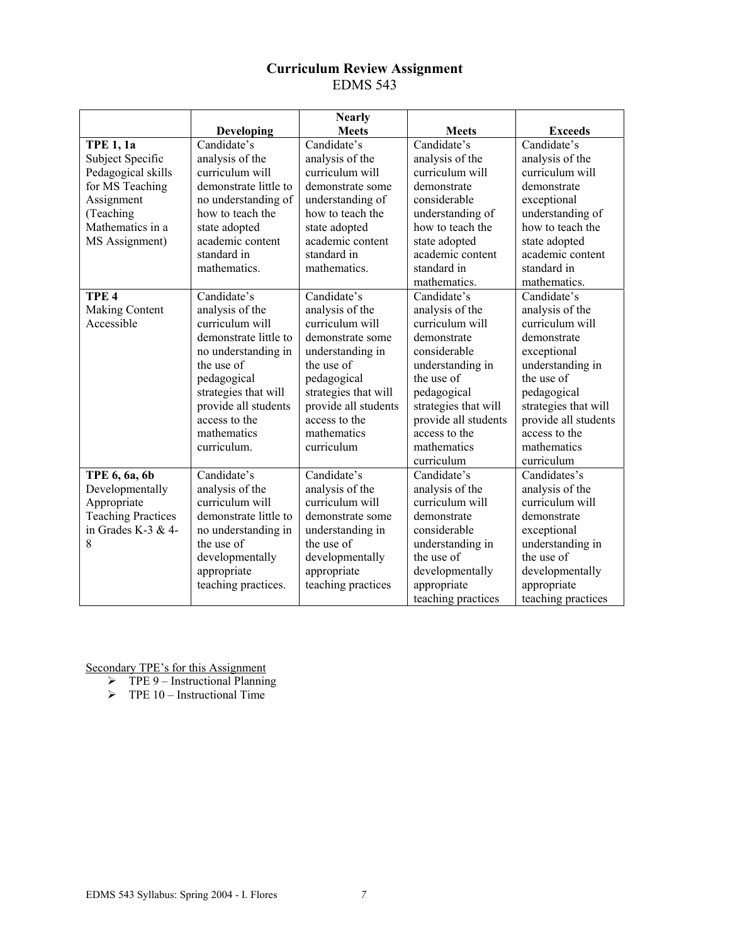# **Curriculum Review Assignment**  EDMS 543

|                           |                       | <b>Nearly</b>        |                                      |                      |
|---------------------------|-----------------------|----------------------|--------------------------------------|----------------------|
|                           | Developing            | <b>Meets</b>         | <b>Meets</b>                         | <b>Exceeds</b>       |
| <b>TPE 1, 1a</b>          | Candidate's           | Candidate's          | Candidate's                          | Candidate's          |
| Subject Specific          | analysis of the       | analysis of the      | analysis of the                      | analysis of the      |
| Pedagogical skills        | curriculum will       | curriculum will      | curriculum will                      | curriculum will      |
| for MS Teaching           | demonstrate little to | demonstrate some     | demonstrate                          | demonstrate          |
| Assignment                | no understanding of   | understanding of     | considerable                         | exceptional          |
| (Teaching                 | how to teach the      | how to teach the     | understanding of                     | understanding of     |
| Mathematics in a          | state adopted         | state adopted        | how to teach the                     | how to teach the     |
| MS Assignment)            | academic content      | academic content     | state adopted                        | state adopted        |
|                           | standard in           | standard in          | academic content                     | academic content     |
|                           | mathematics.          | mathematics.         | standard in                          | standard in          |
|                           |                       |                      | mathematics.                         | mathematics.         |
| TPE <sub>4</sub>          | Candidate's           | Candidate's          | Candidate's                          | Candidate's          |
| Making Content            | analysis of the       | analysis of the      | analysis of the                      | analysis of the      |
| Accessible                | curriculum will       | curriculum will      | curriculum will                      | curriculum will      |
|                           | demonstrate little to | demonstrate some     | demonstrate                          | demonstrate          |
|                           | no understanding in   | understanding in     | considerable<br>exceptional          |                      |
|                           | the use of            | the use of           | understanding in<br>understanding in |                      |
|                           | pedagogical           | pedagogical          | the use of                           | the use of           |
|                           | strategies that will  | strategies that will | pedagogical                          | pedagogical          |
|                           | provide all students  | provide all students | strategies that will                 | strategies that will |
|                           | access to the         | access to the        | provide all students                 | provide all students |
|                           | mathematics           | mathematics          | access to the                        | access to the        |
|                           | curriculum.           | curriculum           | mathematics                          | mathematics          |
|                           |                       |                      | curriculum                           | curriculum           |
| TPE 6, 6a, 6b             | Candidate's           | Candidate's          | Candidate's                          | Candidates's         |
| Developmentally           | analysis of the       | analysis of the      | analysis of the                      | analysis of the      |
| Appropriate               | curriculum will       | curriculum will      | curriculum will                      | curriculum will      |
| <b>Teaching Practices</b> | demonstrate little to | demonstrate some     | demonstrate                          | demonstrate          |
| in Grades K-3 & 4-        | no understanding in   | understanding in     | considerable                         | exceptional          |
| 8                         | the use of            | the use of           | understanding in                     | understanding in     |
|                           | developmentally       | developmentally      | the use of                           | the use of           |
|                           | appropriate           | appropriate          | developmentally                      | developmentally      |
|                           | teaching practices.   | teaching practices   | appropriate                          | appropriate          |
|                           |                       |                      | teaching practices                   | teaching practices   |

- $\triangleright$  TPE 9 Instructional Planning
- $\triangleright$  TPE 10 Instructional Time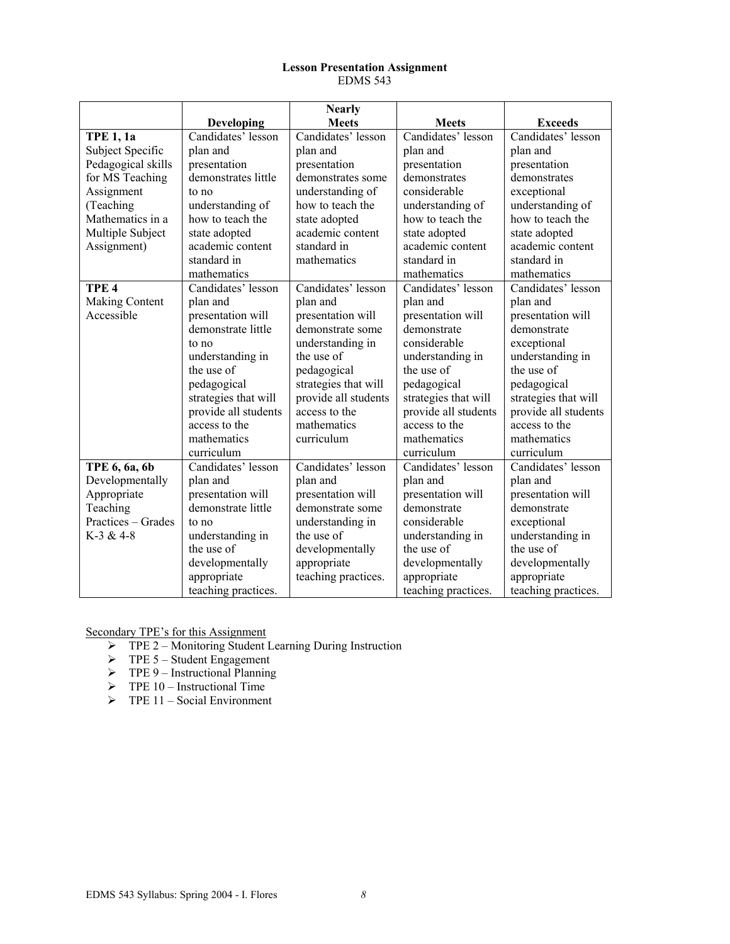#### **Lesson Presentation Assignment**  EDMS 543

|                    |                      | <b>Nearly</b>        |                                      |                      |
|--------------------|----------------------|----------------------|--------------------------------------|----------------------|
|                    | Developing           | <b>Meets</b>         | <b>Meets</b>                         | <b>Exceeds</b>       |
| <b>TPE 1, 1a</b>   | Candidates' lesson   | Candidates' lesson   | Candidates' lesson                   | Candidates' lesson   |
| Subject Specific   | plan and             | plan and             | plan and                             | plan and             |
| Pedagogical skills | presentation         | presentation         | presentation                         | presentation         |
| for MS Teaching    | demonstrates little  | demonstrates some    | demonstrates                         | demonstrates         |
| Assignment         | to no                | understanding of     | considerable                         | exceptional          |
| (Teaching          | understanding of     | how to teach the     | understanding of                     | understanding of     |
| Mathematics in a   | how to teach the     | state adopted        | how to teach the                     | how to teach the     |
| Multiple Subject   | state adopted        | academic content     | state adopted                        | state adopted        |
| Assignment)        | academic content     | standard in          | academic content                     | academic content     |
|                    | standard in          | mathematics          | standard in                          | standard in          |
|                    | mathematics          |                      | mathematics                          | mathematics          |
| TPE <sub>4</sub>   | Candidates' lesson   | Candidates' lesson   | Candidates' lesson                   | Candidates' lesson   |
| Making Content     | plan and             | plan and             | plan and                             | plan and             |
| Accessible         | presentation will    | presentation will    | presentation will                    | presentation will    |
|                    | demonstrate little   | demonstrate some     | demonstrate                          | demonstrate          |
|                    | to no                | understanding in     | considerable<br>exceptional          |                      |
|                    | understanding in     | the use of           | understanding in<br>understanding in |                      |
|                    | the use of           | pedagogical          | the use of                           | the use of           |
|                    | pedagogical          | strategies that will | pedagogical                          | pedagogical          |
|                    | strategies that will | provide all students | strategies that will                 | strategies that will |
|                    | provide all students | access to the        | provide all students                 | provide all students |
|                    | access to the        | mathematics          | access to the                        | access to the        |
|                    | mathematics          | curriculum           | mathematics                          | mathematics          |
|                    | curriculum           |                      | curriculum                           | curriculum           |
| TPE 6, 6a, 6b      | Candidates' lesson   | Candidates' lesson   | Candidates' lesson                   | Candidates' lesson   |
| Developmentally    | plan and             | plan and             | plan and                             | plan and             |
| Appropriate        | presentation will    | presentation will    | presentation will                    | presentation will    |
| Teaching           | demonstrate little   | demonstrate some     | demonstrate                          | demonstrate          |
| Practices – Grades | to no                | understanding in     | considerable                         | exceptional          |
| $K-3 & 4-8$        | understanding in     | the use of           | understanding in                     | understanding in     |
|                    | the use of           | developmentally      | the use of                           | the use of           |
|                    | developmentally      | appropriate          | developmentally                      | developmentally      |
|                    | appropriate          | teaching practices.  | appropriate                          | appropriate          |
|                    | teaching practices.  |                      | teaching practices.                  | teaching practices.  |

- ¾ TPE 2 Monitoring Student Learning During Instruction
- $\triangleright$  TPE 5 Student Engagement
- $\triangleright$  TPE 9 Instructional Planning
- $\triangleright$  TPE 10 Instructional Time
- $\triangleright$  TPE 11 Social Environment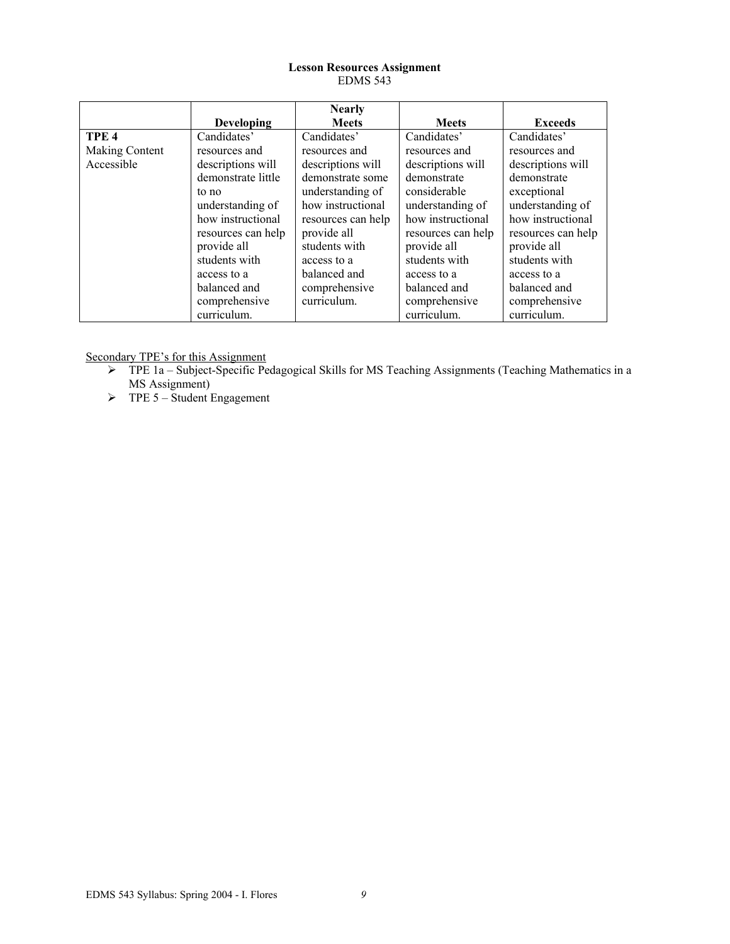### **Lesson Resources Assignment**  EDMS 543

|                  |                    | <b>Nearly</b>      |                    |                    |
|------------------|--------------------|--------------------|--------------------|--------------------|
|                  | <b>Developing</b>  | <b>Meets</b>       | <b>Meets</b>       | <b>Exceeds</b>     |
| TPE <sub>4</sub> | Candidates'        | Candidates'        | Candidates'        | Candidates'        |
| Making Content   | resources and      | resources and      | resources and      | resources and      |
| Accessible       | descriptions will  | descriptions will  | descriptions will  | descriptions will  |
|                  | demonstrate little | demonstrate some   | demonstrate        | demonstrate        |
|                  | to no              | understanding of   | considerable       | exceptional        |
|                  | understanding of   | how instructional  | understanding of   | understanding of   |
|                  | how instructional  | resources can help | how instructional  | how instructional  |
|                  | resources can help | provide all        | resources can help | resources can help |
|                  | provide all        | students with      | provide all        | provide all        |
|                  | students with      | access to a        | students with      | students with      |
|                  | access to a        | balanced and       | access to a        | access to a        |
|                  | balanced and       | comprehensive      | balanced and       | balanced and       |
|                  | comprehensive      | curriculum.        | comprehensive      | comprehensive      |
|                  | curriculum.        |                    | curriculum.        | curriculum.        |

- ¾ TPE 1a Subject-Specific Pedagogical Skills for MS Teaching Assignments (Teaching Mathematics in a MS Assignment)
- $\triangleright$  TPE 5 Student Engagement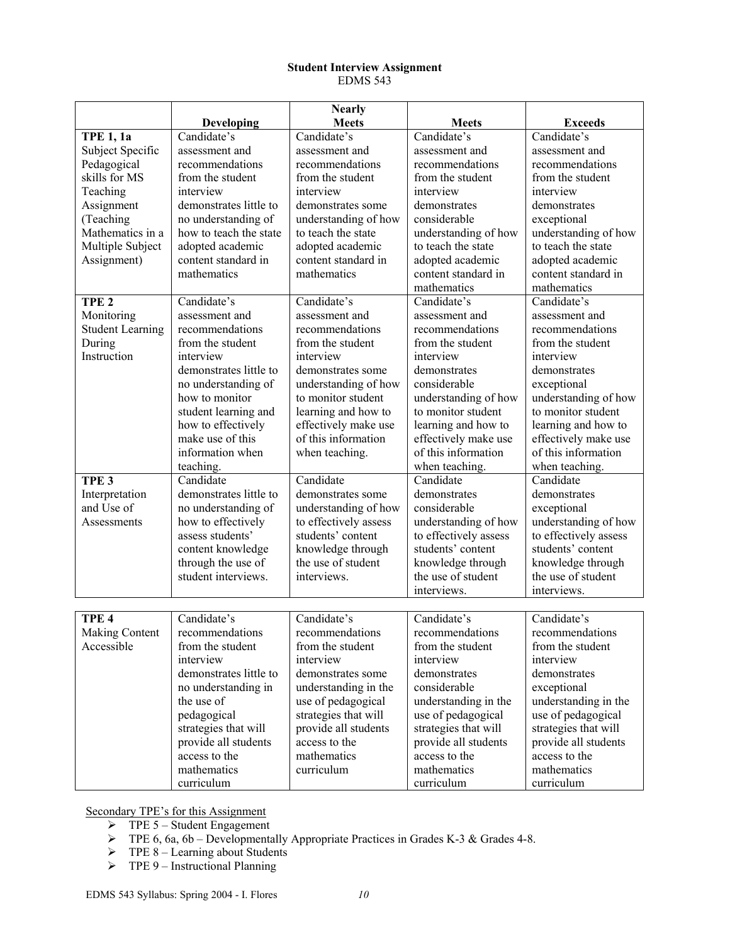### **Student Interview Assignment**  EDMS 543

|                         |                        | <b>Nearly</b>         |                       |                       |
|-------------------------|------------------------|-----------------------|-----------------------|-----------------------|
|                         | Developing             | <b>Meets</b>          | <b>Meets</b>          | <b>Exceeds</b>        |
| <b>TPE 1, 1a</b>        | Candidate's            | Candidate's           | Candidate's           | Candidate's           |
| Subject Specific        | assessment and         | assessment and        | assessment and        | assessment and        |
| Pedagogical             | recommendations        | recommendations       | recommendations       | recommendations       |
| skills for MS           | from the student       | from the student      | from the student      | from the student      |
| Teaching                | interview              | interview             | interview             | interview             |
| Assignment              | demonstrates little to | demonstrates some     | demonstrates          | demonstrates          |
| (Teaching               | no understanding of    | understanding of how  | considerable          | exceptional           |
| Mathematics in a        | how to teach the state | to teach the state    | understanding of how  | understanding of how  |
| Multiple Subject        | adopted academic       | adopted academic      | to teach the state    | to teach the state    |
| Assignment)             | content standard in    | content standard in   | adopted academic      | adopted academic      |
|                         | mathematics            | mathematics           | content standard in   | content standard in   |
|                         |                        |                       | mathematics           | mathematics           |
| TPE <sub>2</sub>        | Candidate's            | Candidate's           | Candidate's           | Candidate's           |
| Monitoring              | assessment and         | assessment and        | assessment and        | assessment and        |
| <b>Student Learning</b> | recommendations        | recommendations       | recommendations       | recommendations       |
| During                  | from the student       | from the student      | from the student      | from the student      |
| Instruction             | interview              | interview             | interview             | interview             |
|                         | demonstrates little to | demonstrates some     | demonstrates          | demonstrates          |
|                         | no understanding of    | understanding of how  | considerable          | exceptional           |
|                         | how to monitor         | to monitor student    | understanding of how  | understanding of how  |
|                         | student learning and   | learning and how to   | to monitor student    | to monitor student    |
|                         | how to effectively     | effectively make use  | learning and how to   | learning and how to   |
|                         | make use of this       | of this information   | effectively make use  | effectively make use  |
|                         | information when       | when teaching.        | of this information   | of this information   |
|                         | teaching.              |                       | when teaching.        | when teaching.        |
| TPE <sub>3</sub>        | Candidate              | Candidate             | Candidate             | Candidate             |
| Interpretation          | demonstrates little to | demonstrates some     | demonstrates          | demonstrates          |
| and Use of              | no understanding of    | understanding of how  | considerable          | exceptional           |
| Assessments             | how to effectively     | to effectively assess | understanding of how  | understanding of how  |
|                         | assess students'       | students' content     | to effectively assess | to effectively assess |
|                         | content knowledge      | knowledge through     | students' content     | students' content     |
|                         | through the use of     | the use of student    | knowledge through     | knowledge through     |
|                         | student interviews.    | interviews.           | the use of student    | the use of student    |
|                         |                        |                       | interviews.           | interviews.           |
|                         |                        |                       |                       |                       |
| TPE <sub>4</sub>        | Candidate's            | Candidate's           | Candidate's           | Candidate's           |
| Making Content          | recommendations        | recommendations       | recommendations       | recommendations       |
| Accessible              | from the student       | from the student      | from the student      | from the student      |
|                         | interview              | interview             | interview             | interview             |
|                         | demonstrates little to | demonstrates some     | demonstrates          | demonstrates          |
|                         | no understanding in    | understanding in the  | considerable          | exceptional           |
|                         | the use of             | use of pedagogical    | understanding in the  | understanding in the  |
|                         | pedagogical            | strategies that will  | use of pedagogical    | use of pedagogical    |
|                         | strategies that will   | provide all students  | strategies that will  | strategies that will  |
|                         | provide all students   | access to the         | provide all students  | provide all students  |
|                         | access to the          | mathematics           | access to the         | access to the         |
|                         | mathematics            | curriculum            | mathematics           | mathematics           |
|                         | curriculum             |                       | curriculum            | curriculum            |

- $\triangleright$  TPE 5 Student Engagement
- $\triangleright$  TPE 6, 6a, 6b Developmentally Appropriate Practices in Grades K-3 & Grades 4-8.
- $\triangleright$  TPE 8 Learning about Students
- $\triangleright$  TPE 9 Instructional Planning